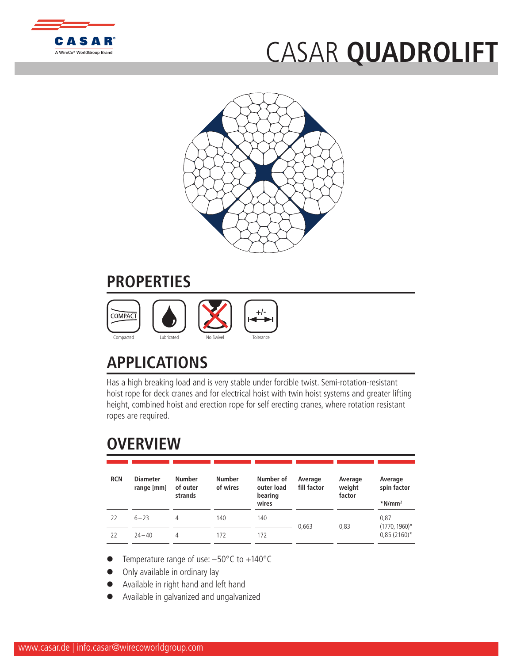

## CASAR **QU[ADROLIFT](http://www.WireCoWorldGroup.com)**



## **PROPERTIES**



## **APPLICATIONS**

Has a high breaking load and is very stable under forcible twist. Semi-rotation-resistant hoist rope for deck cranes and for electrical hoist with twin hoist systems and greater lifting height, combined hoist and erection rope for self erecting cranes, where rotation resistant ropes are required.

## **OVERVIEW**

| <b>RCN</b> | <b>Diameter</b><br>range [mm] | <b>Number</b><br>of outer<br>strands | <b>Number</b><br>of wires | Number of<br>outer load<br>bearing<br>wires | Average<br>fill factor | Average<br>weight<br>factor | Average<br>spin factor<br>$*$ N/mm <sup>2</sup> |  |
|------------|-------------------------------|--------------------------------------|---------------------------|---------------------------------------------|------------------------|-----------------------------|-------------------------------------------------|--|
| 22         | $6 - 23$                      | 4                                    | 140                       | 140                                         | 0.663                  | 0.83                        | 0,87<br>$(1770, 1960)^*$                        |  |
| 22         | $74 - 40$                     | 4                                    | 172                       | 172                                         |                        |                             | $0,85(2160)^*$                                  |  |

- Temperature range of use:  $-50^{\circ}$ C to  $+140^{\circ}$ C
- Only available in ordinary lay
- l Available in right hand and left hand
- l Available in galvanized and ungalvanized